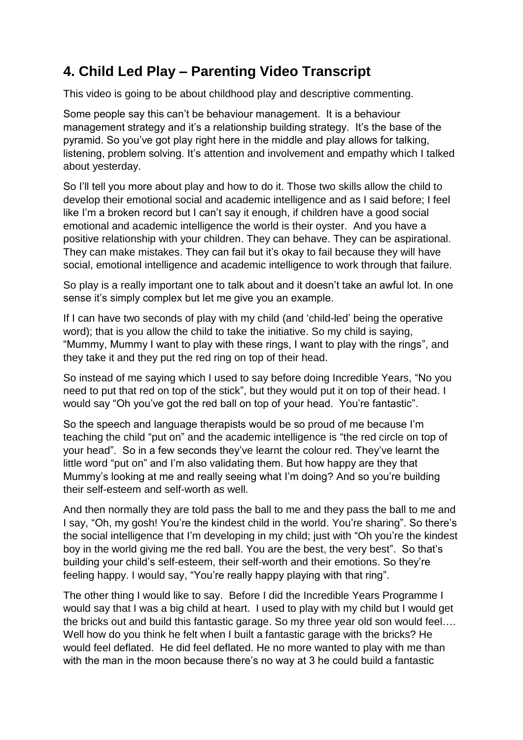## **4. Child Led Play – Parenting Video Transcript**

This video is going to be about childhood play and descriptive commenting.

Some people say this can't be behaviour management. It is a behaviour management strategy and it's a relationship building strategy. It's the base of the pyramid. So you've got play right here in the middle and play allows for talking, listening, problem solving. It's attention and involvement and empathy which I talked about yesterday.

So I'll tell you more about play and how to do it. Those two skills allow the child to develop their emotional social and academic intelligence and as I said before; I feel like I'm a broken record but I can't say it enough, if children have a good social emotional and academic intelligence the world is their oyster. And you have a positive relationship with your children. They can behave. They can be aspirational. They can make mistakes. They can fail but it's okay to fail because they will have social, emotional intelligence and academic intelligence to work through that failure.

So play is a really important one to talk about and it doesn't take an awful lot. In one sense it's simply complex but let me give you an example.

If I can have two seconds of play with my child (and 'child-led' being the operative word); that is you allow the child to take the initiative. So my child is saying, "Mummy, Mummy I want to play with these rings, I want to play with the rings", and they take it and they put the red ring on top of their head.

So instead of me saying which I used to say before doing Incredible Years, "No you need to put that red on top of the stick", but they would put it on top of their head. I would say "Oh you've got the red ball on top of your head. You're fantastic".

So the speech and language therapists would be so proud of me because I'm teaching the child "put on" and the academic intelligence is "the red circle on top of your head". So in a few seconds they've learnt the colour red. They've learnt the little word "put on" and I'm also validating them. But how happy are they that Mummy's looking at me and really seeing what I'm doing? And so you're building their self-esteem and self-worth as well.

And then normally they are told pass the ball to me and they pass the ball to me and I say, "Oh, my gosh! You're the kindest child in the world. You're sharing". So there's the social intelligence that I'm developing in my child; just with "Oh you're the kindest boy in the world giving me the red ball. You are the best, the very best". So that's building your child's self-esteem, their self-worth and their emotions. So they're feeling happy. I would say, "You're really happy playing with that ring".

The other thing I would like to say. Before I did the Incredible Years Programme I would say that I was a big child at heart. I used to play with my child but I would get the bricks out and build this fantastic garage. So my three year old son would feel…. Well how do you think he felt when I built a fantastic garage with the bricks? He would feel deflated. He did feel deflated. He no more wanted to play with me than with the man in the moon because there's no way at 3 he could build a fantastic